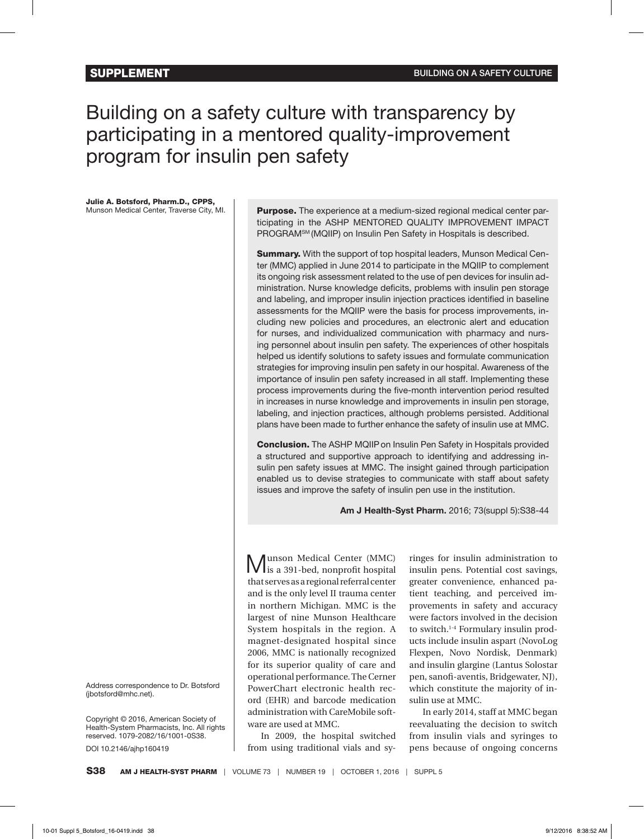# Building on a safety culture with transparency by participating in a mentored quality-improvement program for insulin pen safety

Julie A. Botsford, Pharm.D., CPPS, Munson Medical Center, Traverse City, MI.

Address correspondence to Dr. Botsford (jbotsford@mhc.net).

Copyright © 2016, American Society of Health-System Pharmacists, Inc. All rights reserved. 1079-2082/16/1001-0S38.

DOI 10.2146/ajhp160419

Purpose. The experience at a medium-sized regional medical center participating in the ASHP MENTORED QUALITY IMPROVEMENT IMPACT PROGRAMSM (MQIIP) on Insulin Pen Safety in Hospitals is described.

**Summary.** With the support of top hospital leaders, Munson Medical Center (MMC) applied in June 2014 to participate in the MQIIP to complement its ongoing risk assessment related to the use of pen devices for insulin administration. Nurse knowledge deficits, problems with insulin pen storage and labeling, and improper insulin injection practices identified in baseline assessments for the MQIIP were the basis for process improvements, including new policies and procedures, an electronic alert and education for nurses, and individualized communication with pharmacy and nursing personnel about insulin pen safety. The experiences of other hospitals helped us identify solutions to safety issues and formulate communication strategies for improving insulin pen safety in our hospital. Awareness of the importance of insulin pen safety increased in all staff. Implementing these process improvements during the five-month intervention period resulted in increases in nurse knowledge and improvements in insulin pen storage, labeling, and injection practices, although problems persisted. Additional plans have been made to further enhance the safety of insulin use at MMC.

Conclusion. The ASHP MQIIP on Insulin Pen Safety in Hospitals provided a structured and supportive approach to identifying and addressing insulin pen safety issues at MMC. The insight gained through participation enabled us to devise strategies to communicate with staff about safety issues and improve the safety of insulin pen use in the institution.

**Am J Health-Syst Pharm.** 2016; 73(suppl 5):S38-44

Munson Medical Center (MMC) is a 391-bed, nonprofit hospital that serves as a regional referral center and is the only level II trauma center in northern Michigan. MMC is the largest of nine Munson Healthcare System hospitals in the region. A magnet-designated hospital since 2006, MMC is nationally recognized for its superior quality of care and operational performance. The Cerner PowerChart electronic health record (EHR) and barcode medication administration with CareMobile software are used at MMC.

In 2009, the hospital switched from using traditional vials and sy-

ringes for insulin administration to insulin pens. Potential cost savings, greater convenience, enhanced patient teaching, and perceived improvements in safety and accuracy were factors involved in the decision to switch.<sup>1-4</sup> Formulary insulin products include insulin aspart (NovoLog Flexpen, Novo Nordisk, Denmark) and insulin glargine (Lantus Solostar pen, sanofi-aventis, Bridgewater, NJ), which constitute the majority of insulin use at MMC.

In early 2014, staff at MMC began reevaluating the decision to switch from insulin vials and syringes to pens because of ongoing concerns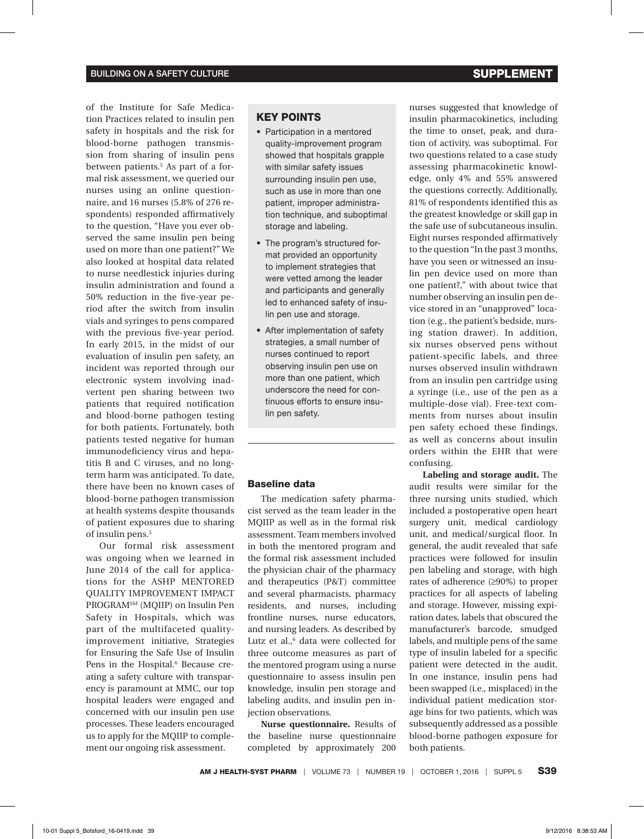of the Institute for Safe Medication Practices related to insulin pen safety in hospitals and the risk for blood-borne pathogen transmission from sharing of insulin pens between patients.<sup>5</sup> As part of a formal risk assessment, we queried our nurses using an online questionnaire, and 16 nurses (5.8% of 276 respondents) responded affirmatively to the question, "Have you ever observed the same insulin pen being used on more than one patient?" We also looked at hospital data related to nurse needlestick injuries during insulin administration and found a 50% reduction in the five-year period after the switch from insulin vials and syringes to pens compared with the previous five-year period. In early 2015, in the midst of our evaluation of insulin pen safety, an incident was reported through our electronic system involving inadvertent pen sharing between two patients that required notification and blood-borne pathogen testing for both patients. Fortunately, both patients tested negative for human immunodeficiency virus and hepatitis B and C viruses, and no longterm harm was anticipated. To date, there have been no known cases of blood-borne pathogen transmission at health systems despite thousands of patient exposures due to sharing of insulin pens.<sup>5</sup>

Our formal risk assessment was ongoing when we learned in June 2014 of the call for applications for the ASHP MENTORED QUALITY IMPROVEMENT IMPACT PROGRAMSM (MQIIP) on Insulin Pen Safety in Hospitals, which was part of the multifaceted qualityimprovement initiative, Strategies for Ensuring the Safe Use of Insulin Pens in the Hospital.<sup>6</sup> Because creating a safety culture with transparency is paramount at MMC, our top hospital leaders were engaged and concerned with our insulin pen use processes. These leaders encouraged us to apply for the MQIIP to complement our ongoing risk assessment.

# KEY POINTS

- Participation in a mentored quality-improvement program showed that hospitals grapple with similar safety issues surrounding insulin pen use, such as use in more than one patient, improper administration technique, and suboptimal storage and labeling.
- The program's structured format provided an opportunity to implement strategies that were vetted among the leader and participants and generally led to enhanced safety of insulin pen use and storage.
- After implementation of safety strategies, a small number of nurses continued to report observing insulin pen use on more than one patient, which underscore the need for continuous efforts to ensure insulin pen safety.

# Baseline data

The medication safety pharmacist served as the team leader in the MQIIP as well as in the formal risk assessment. Team members involved in both the mentored program and the formal risk assessment included the physician chair of the pharmacy and therapeutics (P&T) committee and several pharmacists, pharmacy residents, and nurses, including frontline nurses, nurse educators, and nursing leaders. As described by Lutz et al.,<sup>6</sup> data were collected for three outcome measures as part of the mentored program using a nurse questionnaire to assess insulin pen knowledge, insulin pen storage and labeling audits, and insulin pen injection observations.

**Nurse questionnaire.** Results of the baseline nurse questionnaire completed by approximately 200

nurses suggested that knowledge of insulin pharmacokinetics, including the time to onset, peak, and duration of activity, was suboptimal. For two questions related to a case study assessing pharmacokinetic knowledge, only 4% and 55% answered the questions correctly. Additionally, 81% of respondents identified this as the greatest knowledge or skill gap in the safe use of subcutaneous insulin. Eight nurses responded affirmatively to the question "In the past 3 months, have you seen or witnessed an insulin pen device used on more than one patient?," with about twice that number observing an insulin pen device stored in an "unapproved" location (e.g., the patient's bedside, nursing station drawer). In addition, six nurses observed pens without patient-specific labels, and three nurses observed insulin withdrawn from an insulin pen cartridge using a syringe (i.e., use of the pen as a multiple-dose vial). Free-text comments from nurses about insulin pen safety echoed these findings, as well as concerns about insulin orders within the EHR that were confusing.

**Labeling and storage audit.** The audit results were similar for the three nursing units studied, which included a postoperative open heart surgery unit, medical cardiology unit, and medical/surgical floor. In general, the audit revealed that safe practices were followed for insulin pen labeling and storage, with high rates of adherence (≥90%) to proper practices for all aspects of labeling and storage. However, missing expiration dates, labels that obscured the manufacturer's barcode, smudged labels, and multiple pens of the same type of insulin labeled for a specific patient were detected in the audit. In one instance, insulin pens had been swapped (i.e., misplaced) in the individual patient medication storage bins for two patients, which was subsequently addressed as a possible blood-borne pathogen exposure for both patients.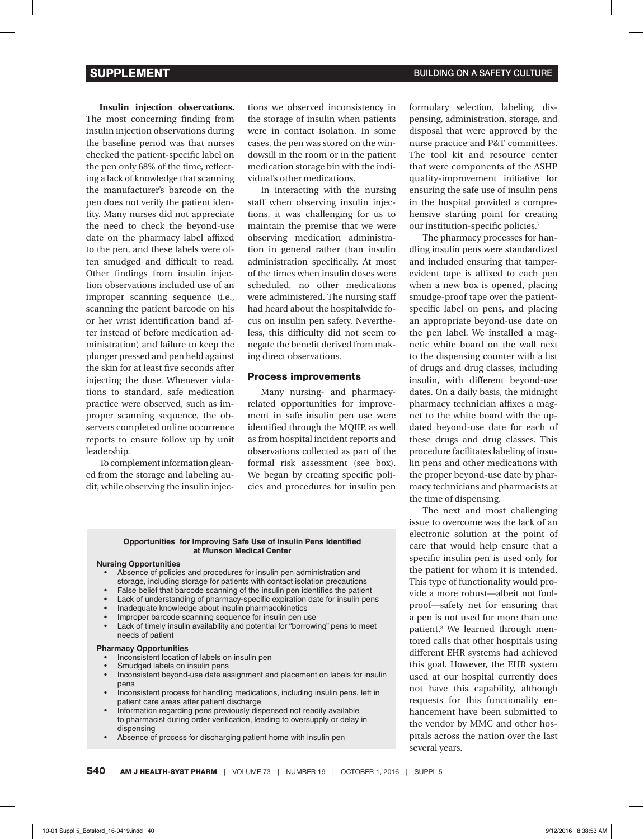**Insulin injection observations.**  The most concerning finding from insulin injection observations during the baseline period was that nurses checked the patient-specific label on the pen only 68% of the time, reflecting a lack of knowledge that scanning the manufacturer's barcode on the pen does not verify the patient identity. Many nurses did not appreciate the need to check the beyond-use date on the pharmacy label affixed to the pen, and these labels were often smudged and difficult to read. Other findings from insulin injection observations included use of an improper scanning sequence (i.e., scanning the patient barcode on his or her wrist identification band after instead of before medication administration) and failure to keep the plunger pressed and pen held against the skin for at least five seconds after injecting the dose. Whenever violations to standard, safe medication practice were observed, such as improper scanning sequence, the observers completed online occurrence reports to ensure follow up by unit leadership.

To complement information gleaned from the storage and labeling audit, while observing the insulin injections we observed inconsistency in the storage of insulin when patients were in contact isolation. In some cases, the pen was stored on the windowsill in the room or in the patient medication storage bin with the individual's other medications.

In interacting with the nursing staff when observing insulin injections, it was challenging for us to maintain the premise that we were observing medication administration in general rather than insulin administration specifically. At most of the times when insulin doses were scheduled, no other medications were administered. The nursing staff had heard about the hospitalwide focus on insulin pen safety. Nevertheless, this difficulty did not seem to negate the benefit derived from making direct observations.

#### Process improvements

Many nursing- and pharmacyrelated opportunities for improvement in safe insulin pen use were identified through the MQIIP, as well as from hospital incident reports and observations collected as part of the formal risk assessment (see box). We began by creating specific policies and procedures for insulin pen

#### **Opportunities for Improving Safe Use of Insulin Pens Identified at Munson Medical Center**

#### **Nursing Opportunities**

- Absence of policies and procedures for insulin pen administration and storage, including storage for patients with contact isolation precautions
- False belief that barcode scanning of the insulin pen identifies the patient
- Lack of understanding of pharmacy-specific expiration date for insulin pens
- Inadequate knowledge about insulin pharmacokinetics
- Improper barcode scanning sequence for insulin pen use
- Lack of timely insulin availability and potential for "borrowing" pens to meet needs of patient

#### **Pharmacy Opportunities**

- Inconsistent location of labels on insulin pen
- Smudged labels on insulin pens
- Inconsistent beyond-use date assignment and placement on labels for insulin pens
- Inconsistent process for handling medications, including insulin pens, left in patient care areas after patient discharge
- Information regarding pens previously dispensed not readily available to pharmacist during order verification, leading to oversupply or delay in dispensing
- Absence of process for discharging patient home with insulin pen

formulary selection, labeling, dispensing, administration, storage, and disposal that were approved by the nurse practice and P&T committees. The tool kit and resource center that were components of the ASHP quality-improvement initiative for ensuring the safe use of insulin pens in the hospital provided a comprehensive starting point for creating our institution-specific policies.7

The pharmacy processes for handling insulin pens were standardized and included ensuring that tamperevident tape is affixed to each pen when a new box is opened, placing smudge-proof tape over the patientspecific label on pens, and placing an appropriate beyond-use date on the pen label. We installed a magnetic white board on the wall next to the dispensing counter with a list of drugs and drug classes, including insulin, with different beyond-use dates. On a daily basis, the midnight pharmacy technician affixes a magnet to the white board with the updated beyond-use date for each of these drugs and drug classes. This procedure facilitates labeling of insulin pens and other medications with the proper beyond-use date by pharmacy technicians and pharmacists at the time of dispensing.

The next and most challenging issue to overcome was the lack of an electronic solution at the point of care that would help ensure that a specific insulin pen is used only for the patient for whom it is intended. This type of functionality would provide a more robust—albeit not foolproof—safety net for ensuring that a pen is not used for more than one patient.8 We learned through mentored calls that other hospitals using different EHR systems had achieved this goal. However, the EHR system used at our hospital currently does not have this capability, although requests for this functionality enhancement have been submitted to the vendor by MMC and other hospitals across the nation over the last several years.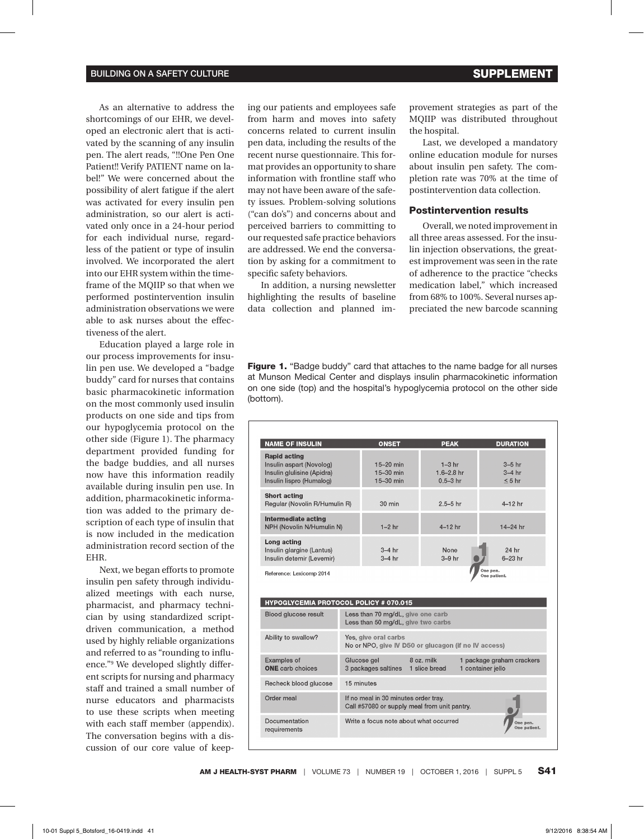As an alternative to address the shortcomings of our EHR, we developed an electronic alert that is activated by the scanning of any insulin pen. The alert reads, "!!One Pen One Patient!! Verify PATIENT name on label!" We were concerned about the possibility of alert fatigue if the alert was activated for every insulin pen administration, so our alert is activated only once in a 24-hour period for each individual nurse, regardless of the patient or type of insulin involved. We incorporated the alert into our EHR system within the timeframe of the MQIIP so that when we performed postintervention insulin administration observations we were able to ask nurses about the effectiveness of the alert.

Education played a large role in our process improvements for insulin pen use. We developed a "badge buddy" card for nurses that contains basic pharmacokinetic information on the most commonly used insulin products on one side and tips from our hypoglycemia protocol on the other side (Figure 1). The pharmacy department provided funding for the badge buddies, and all nurses now have this information readily available during insulin pen use. In addition, pharmacokinetic information was added to the primary description of each type of insulin that is now included in the medication administration record section of the EHR.

Next, we began efforts to promote insulin pen safety through individualized meetings with each nurse, pharmacist, and pharmacy technician by using standardized scriptdriven communication, a method used by highly reliable organizations and referred to as "rounding to influence."9 We developed slightly different scripts for nursing and pharmacy staff and trained a small number of nurse educators and pharmacists to use these scripts when meeting with each staff member (appendix). The conversation begins with a discussion of our core value of keeping our patients and employees safe from harm and moves into safety concerns related to current insulin pen data, including the results of the recent nurse questionnaire. This format provides an opportunity to share information with frontline staff who may not have been aware of the safety issues. Problem-solving solutions ("can do's") and concerns about and perceived barriers to committing to our requested safe practice behaviors are addressed. We end the conversation by asking for a commitment to specific safety behaviors.

In addition, a nursing newsletter highlighting the results of baseline data collection and planned improvement strategies as part of the MQIIP was distributed throughout the hospital.

Last, we developed a mandatory online education module for nurses about insulin pen safety. The completion rate was 70% at the time of postintervention data collection.

#### Postintervention results

Overall, we noted improvement in all three areas assessed. For the insulin injection observations, the greatest improvement was seen in the rate of adherence to the practice "checks medication label," which increased from 68% to 100%. Several nurses appreciated the new barcode scanning

**Figure 1.** "Badge buddy" card that attaches to the name badge for all nurses at Munson Medical Center and displays insulin pharmacokinetic information on one side (top) and the hospital's hypoglycemia protocol on the other side (bottom).

| <b>NAME OF INSULIN</b>                                                                                    | <b>ONSET</b>                                                                         | <b>PEAK</b>                                          | <b>DURATION</b>                                |
|-----------------------------------------------------------------------------------------------------------|--------------------------------------------------------------------------------------|------------------------------------------------------|------------------------------------------------|
| <b>Rapid acting</b><br>Insulin aspart (Novolog)<br>Insulin glulisine (Apidra)<br>Insulin lispro (Humalog) | $15-20$ min<br>$15 - 30$ min<br>15-30 min                                            | $1-3$ hr<br>$16 - 28$ hr<br>$0.5 - 3$ hr             | $3-5$ hr<br>$3-4$ hr<br>$< 5$ hr               |
| <b>Short acting</b><br>Regular (Novolin R/Humulin R)                                                      | $30 \text{ min}$                                                                     | $25 - 5$ hr                                          | $4-12$ hr                                      |
| Intermediate acting<br>NPH (Novolin N/Humulin N)                                                          | $1-2$ hr                                                                             | $4-12$ hr                                            | 14-24 hr                                       |
| Long acting<br>Insulin glargine (Lantus)<br>Insulin detemir (Levemir)                                     | $3-4$ hr<br>$3-4$ hr                                                                 | None<br>$3-9$ hr                                     | 24 hr<br>$6-23$ hr                             |
|                                                                                                           |                                                                                      |                                                      | One pen.<br>One patient.                       |
| Reference: Lexicomp 2014<br><b>HYPOGLYCEMIA PROTOCOL POLICY # 070.015</b>                                 |                                                                                      |                                                      |                                                |
| Blood glucose result                                                                                      | Less than 70 mg/dL, give one carb<br>Less than 50 mg/dL, give two carbs              |                                                      |                                                |
| Ability to swallow?                                                                                       | Yes, give oral carbs                                                                 | No or NPO, give IV D50 or glucagon (if no IV access) |                                                |
| Examples of<br><b>ONE</b> carb choices                                                                    | 8 oz. milk<br>Glucose gel<br>3 packages saltines 1 slice bread                       |                                                      | 1 package graham crackers<br>1 container jello |
| Recheck blood glucose                                                                                     | 15 minutes                                                                           |                                                      |                                                |
| Order meal                                                                                                | If no meal in 30 minutes order tray.<br>Call #57080 or supply meal from unit pantry. |                                                      |                                                |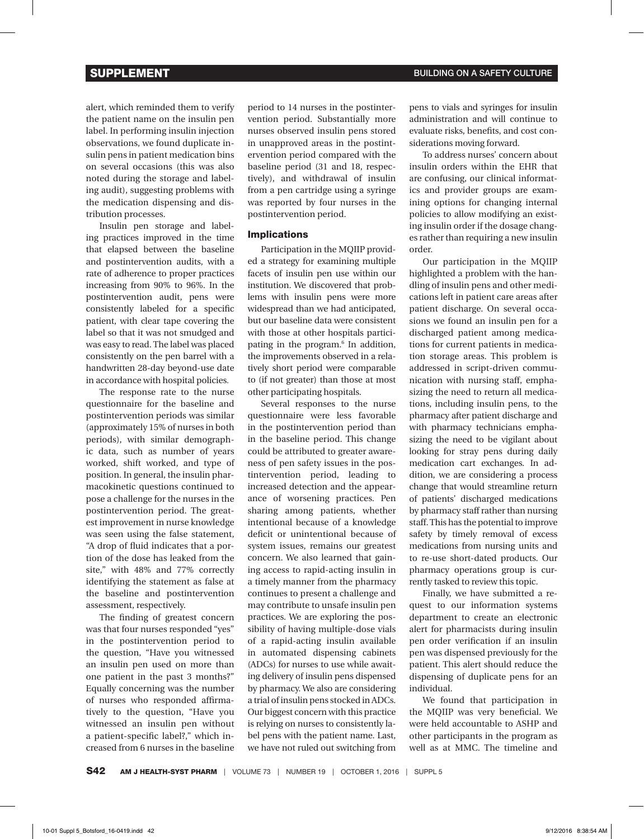alert, which reminded them to verify the patient name on the insulin pen label. In performing insulin injection observations, we found duplicate insulin pens in patient medication bins on several occasions (this was also noted during the storage and labeling audit), suggesting problems with the medication dispensing and distribution processes.

Insulin pen storage and labeling practices improved in the time that elapsed between the baseline and postintervention audits, with a rate of adherence to proper practices increasing from 90% to 96%. In the postintervention audit, pens were consistently labeled for a specific patient, with clear tape covering the label so that it was not smudged and was easy to read. The label was placed consistently on the pen barrel with a handwritten 28-day beyond-use date in accordance with hospital policies.

The response rate to the nurse questionnaire for the baseline and postintervention periods was similar (approximately 15% of nurses in both periods), with similar demographic data, such as number of years worked, shift worked, and type of position. In general, the insulin pharmacokinetic questions continued to pose a challenge for the nurses in the postintervention period. The greatest improvement in nurse knowledge was seen using the false statement, "A drop of fluid indicates that a portion of the dose has leaked from the site," with 48% and 77% correctly identifying the statement as false at the baseline and postintervention assessment, respectively.

The finding of greatest concern was that four nurses responded "yes" in the postintervention period to the question, "Have you witnessed an insulin pen used on more than one patient in the past 3 months?" Equally concerning was the number of nurses who responded affirmatively to the question, "Have you witnessed an insulin pen without a patient-specific label?," which increased from 6 nurses in the baseline

period to 14 nurses in the postintervention period. Substantially more nurses observed insulin pens stored in unapproved areas in the postintervention period compared with the baseline period (31 and 18, respectively), and withdrawal of insulin from a pen cartridge using a syringe was reported by four nurses in the postintervention period.

### Implications

Participation in the MQIIP provided a strategy for examining multiple facets of insulin pen use within our institution. We discovered that problems with insulin pens were more widespread than we had anticipated, but our baseline data were consistent with those at other hospitals participating in the program.6 In addition, the improvements observed in a relatively short period were comparable to (if not greater) than those at most other participating hospitals.

Several responses to the nurse questionnaire were less favorable in the postintervention period than in the baseline period. This change could be attributed to greater awareness of pen safety issues in the postintervention period, leading to increased detection and the appearance of worsening practices. Pen sharing among patients, whether intentional because of a knowledge deficit or unintentional because of system issues, remains our greatest concern. We also learned that gaining access to rapid-acting insulin in a timely manner from the pharmacy continues to present a challenge and may contribute to unsafe insulin pen practices. We are exploring the possibility of having multiple-dose vials of a rapid-acting insulin available in automated dispensing cabinets (ADCs) for nurses to use while awaiting delivery of insulin pens dispensed by pharmacy. We also are considering a trial of insulin pens stocked in ADCs. Our biggest concern with this practice is relying on nurses to consistently label pens with the patient name. Last, we have not ruled out switching from pens to vials and syringes for insulin administration and will continue to evaluate risks, benefits, and cost considerations moving forward.

To address nurses' concern about insulin orders within the EHR that are confusing, our clinical informatics and provider groups are examining options for changing internal policies to allow modifying an existing insulin order if the dosage changes rather than requiring a new insulin order.

Our participation in the MQIIP highlighted a problem with the handling of insulin pens and other medications left in patient care areas after patient discharge. On several occasions we found an insulin pen for a discharged patient among medications for current patients in medication storage areas. This problem is addressed in script-driven communication with nursing staff, emphasizing the need to return all medications, including insulin pens, to the pharmacy after patient discharge and with pharmacy technicians emphasizing the need to be vigilant about looking for stray pens during daily medication cart exchanges. In addition, we are considering a process change that would streamline return of patients' discharged medications by pharmacy staff rather than nursing staff. This has the potential to improve safety by timely removal of excess medications from nursing units and to re-use short-dated products. Our pharmacy operations group is currently tasked to review this topic.

Finally, we have submitted a request to our information systems department to create an electronic alert for pharmacists during insulin pen order verification if an insulin pen was dispensed previously for the patient. This alert should reduce the dispensing of duplicate pens for an individual.

We found that participation in the MQIIP was very beneficial. We were held accountable to ASHP and other participants in the program as well as at MMC. The timeline and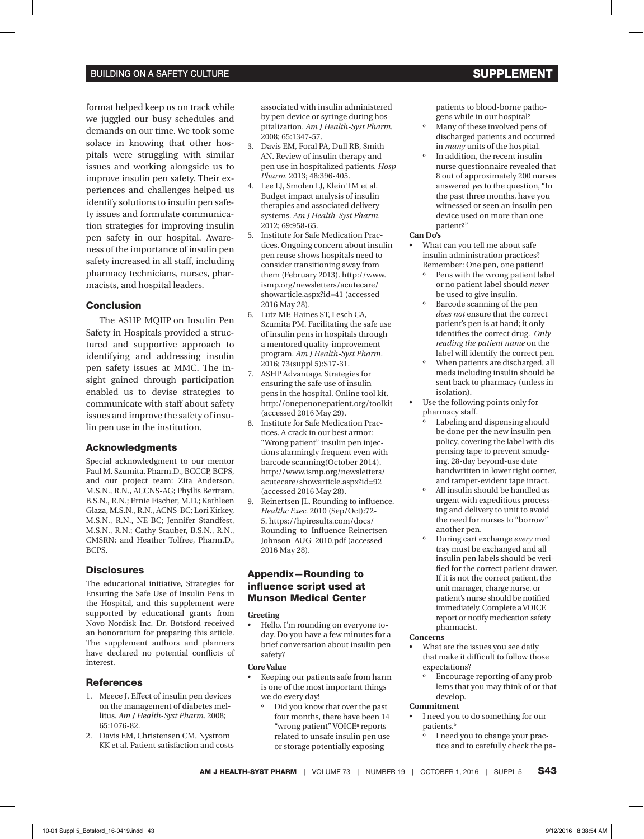## BUILDING ON A SAFETY CULTURE **SUPPLEMENT AND A SUPPLEMENT**

format helped keep us on track while we juggled our busy schedules and demands on our time. We took some solace in knowing that other hospitals were struggling with similar issues and working alongside us to improve insulin pen safety. Their experiences and challenges helped us identify solutions to insulin pen safety issues and formulate communication strategies for improving insulin pen safety in our hospital. Awareness of the importance of insulin pen safety increased in all staff, including pharmacy technicians, nurses, pharmacists, and hospital leaders.

### Conclusion

The ASHP MQIIP on Insulin Pen Safety in Hospitals provided a structured and supportive approach to identifying and addressing insulin pen safety issues at MMC. The insight gained through participation enabled us to devise strategies to communicate with staff about safety issues and improve the safety of insulin pen use in the institution.

#### Acknowledgments

Special acknowledgment to our mentor Paul M. Szumita, Pharm.D., BCCCP, BCPS, and our project team: Zita Anderson, M.S.N., R.N., ACCNS-AG; Phyllis Bertram, B.S.N., R.N.; Ernie Fischer, M.D.; Kathleen Glaza, M.S.N., R.N., ACNS-BC; Lori Kirkey, M.S.N., R.N., NE-BC; Jennifer Standfest, M.S.N., R.N.; Cathy Stauber, B.S.N., R.N., CMSRN; and Heather Tolfree, Pharm.D., BCPS.

#### **Disclosures**

The educational initiative, Strategies for Ensuring the Safe Use of Insulin Pens in the Hospital, and this supplement were supported by educational grants from Novo Nordisk Inc. Dr. Botsford received an honorarium for preparing this article. The supplement authors and planners have declared no potential conflicts of interest.

#### **References**

- 1. Meece J. Effect of insulin pen devices on the management of diabetes mellitus. *Am J Health-Syst Pharm.* 2008; 65:1076-82.
- 2. Davis EM, Christensen CM, Nystrom KK et al. Patient satisfaction and costs

associated with insulin administered by pen device or syringe during hospitalization. *Am J Health-Syst Pharm.*  2008; 65:1347-57.

- 3. Davis EM, Foral PA, Dull RB, Smith AN. Review of insulin therapy and pen use in hospitalized patients. *Hosp Pharm.* 2013; 48:396-405.
- 4. Lee LJ, Smolen LJ, Klein TM et al. Budget impact analysis of insulin therapies and associated delivery systems. *Am J Health-Syst Pharm.*  2012; 69:958-65.
- 5. Institute for Safe Medication Practices. Ongoing concern about insulin pen reuse shows hospitals need to consider transitioning away from [them \(February 2013\). http://www.](http://www.ismp.org/newsletters/acutecare/showarticle.aspx?id=41) ismp.org/newsletters/acutecare/ showarticle.aspx?id=41 (accessed 2016 May 28).
- 6. Lutz MF, Haines ST, Lesch CA, Szumita PM. Facilitating the safe use of insulin pens in hospitals through a mentored quality-improvement program. *Am J Health-Syst Pharm*. 2016; 73(suppl 5):S17-31.
- 7. ASHP Advantage. Strategies for ensuring the safe use of insulin pens in the hospital. Online tool kit. <http://onepenonepatient.org/toolkit> (accessed 2016 May 29).
- 8. Institute for Safe Medication Practices. A crack in our best armor: "Wrong patient" insulin pen injections alarmingly frequent even with barcode scanning(October 2014). [http://www.ismp.org/newsletters/](http://www.ismp.org/newsletters/acutecare/showarticle.aspx?id=92) acutecare/showarticle.aspx?id=92 (accessed 2016 May 28).
- 9. Reinertsen JL. Rounding to influence. *Healthc Exec.* 2010 (Sep/Oct):72- 5. https://hpiresults.com/docs/ [Rounding\\_to\\_Influence-Reinertsen\\_](http://www.ihi.org/resources/Pages/Publications/RoundingtoInfluence.aspx) Johnson\_AUG\_2010.pdf (accessed 2016 May 28).

# Appendix—Rounding to influence script used at Munson Medical Center

#### **Greeting**

Hello. I'm rounding on everyone today. Do you have a few minutes for a brief conversation about insulin pen safety?

#### **Core Value**

- Keeping our patients safe from harm is one of the most important things we do every day!
	- Did you know that over the past four months, there have been 14 "wrong patient" VOICE<sup>a</sup> reports related to unsafe insulin pen use or storage potentially exposing

patients to blood-borne pathogens while in our hospital?

- º Many of these involved pens of discharged patients and occurred in *many* units of the hospital.
- º In addition, the recent insulin nurse questionnaire revealed that 8 out of approximately 200 nurses answered *yes* to the question, "In the past three months, have you witnessed or seen an insulin pen device used on more than one patient?"

#### **Can Do's**

- What can you tell me about safe insulin administration practices? Remember: One pen, one patient!
	- Pens with the wrong patient label or no patient label should *never* be used to give insulin.
	- Barcode scanning of the pen *does not* ensure that the correct patient's pen is at hand; it only identifies the correct drug. *Only reading the patient name* on the label will identify the correct pen.
	- º When patients are discharged, all meds including insulin should be sent back to pharmacy (unless in isolation).
- Use the following points only for pharmacy staff.
	- Labeling and dispensing should be done per the new insulin pen policy, covering the label with dispensing tape to prevent smudging, 28-day beyond-use date handwritten in lower right corner, and tamper-evident tape intact.
	- All insulin should be handled as urgent with expeditious processing and delivery to unit to avoid the need for nurses to "borrow" another pen.
	- During cart exchange every med tray must be exchanged and all insulin pen labels should be verified for the correct patient drawer. If it is not the correct patient, the unit manager, charge nurse, or patient's nurse should be notified immediately. Complete a VOICE report or notify medication safety pharmacist.

#### **Concerns**

- What are the issues you see daily that make it difficult to follow those expectations?
	- Encourage reporting of any problems that you may think of or that develop.

### **Commitment**

- • I need you to do something for our patients.<sup>b</sup>
	- I need you to change your practice and to carefully check the pa-